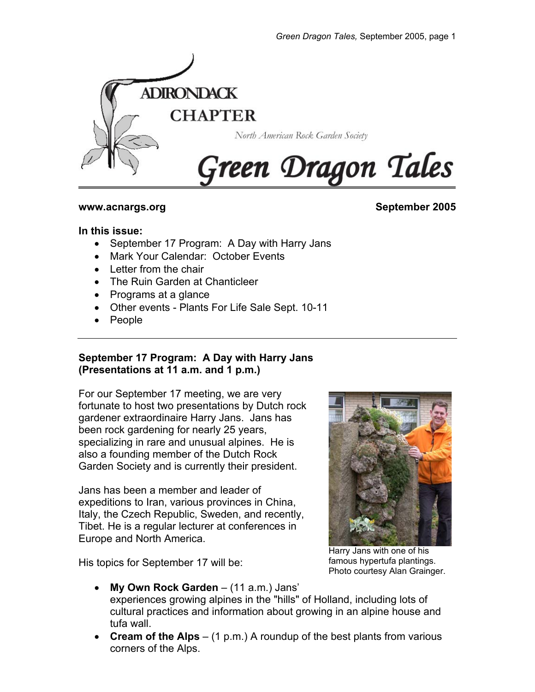

#### **www.acnargs.org September 2005**

### **In this issue:**

- September 17 Program: A Day with Harry Jans
- Mark Your Calendar: October Events
- Letter from the chair
- The Ruin Garden at Chanticleer
- Programs at a glance
- Other events Plants For Life Sale Sept. 10-11
- People

# **September 17 Program: A Day with Harry Jans (Presentations at 11 a.m. and 1 p.m.)**

For our September 17 meeting, we are very fortunate to host two presentations by Dutch rock gardener extraordinaire Harry Jans. Jans has been rock gardening for nearly 25 years, specializing in rare and unusual alpines. He is also a founding member of the Dutch Rock Garden Society and is currently their president.

Jans has been a member and leader of expeditions to Iran, various provinces in China, Italy, the Czech Republic, Sweden, and recently, Tibet. He is a regular lecturer at conferences in Europe and North America.

His topics for September 17 will be:



Harry Jans with one of his famous hypertufa plantings. Photo courtesy Alan Grainger.

- **My Own Rock Garden** (11 a.m.) Jans' experiences growing alpines in the "hills" of Holland, including lots of cultural practices and information about growing in an alpine house and tufa wall.
- **Cream of the Alps** (1 p.m.) A roundup of the best plants from various corners of the Alps.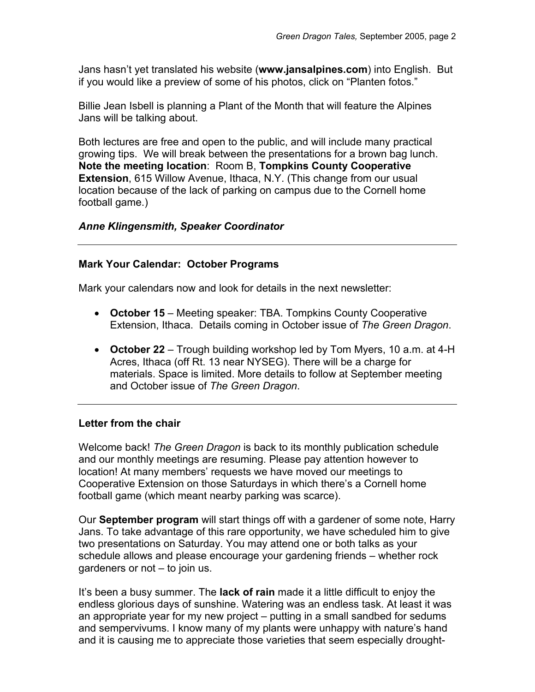Jans hasn't yet translated his website (**www.jansalpines.com**) into English. But if you would like a preview of some of his photos, click on "Planten fotos."

Billie Jean Isbell is planning a Plant of the Month that will feature the Alpines Jans will be talking about.

Both lectures are free and open to the public, and will include many practical growing tips. We will break between the presentations for a brown bag lunch. **Note the meeting location**: Room B, **Tompkins County Cooperative Extension**, 615 Willow Avenue, Ithaca, N.Y. (This change from our usual location because of the lack of parking on campus due to the Cornell home football game.)

# *Anne Klingensmith, Speaker Coordinator*

## **Mark Your Calendar: October Programs**

Mark your calendars now and look for details in the next newsletter:

- **October 15** Meeting speaker: TBA. Tompkins County Cooperative Extension, Ithaca. Details coming in October issue of *The Green Dragon*.
- **October 22** Trough building workshop led by Tom Myers, 10 a.m. at 4-H Acres, Ithaca (off Rt. 13 near NYSEG). There will be a charge for materials. Space is limited. More details to follow at September meeting and October issue of *The Green Dragon*.

#### **Letter from the chair**

Welcome back! *The Green Dragon* is back to its monthly publication schedule and our monthly meetings are resuming. Please pay attention however to location! At many members' requests we have moved our meetings to Cooperative Extension on those Saturdays in which there's a Cornell home football game (which meant nearby parking was scarce).

Our **September program** will start things off with a gardener of some note, Harry Jans. To take advantage of this rare opportunity, we have scheduled him to give two presentations on Saturday. You may attend one or both talks as your schedule allows and please encourage your gardening friends – whether rock gardeners or not – to join us.

It's been a busy summer. The **lack of rain** made it a little difficult to enjoy the endless glorious days of sunshine. Watering was an endless task. At least it was an appropriate year for my new project – putting in a small sandbed for sedums and sempervivums. I know many of my plants were unhappy with nature's hand and it is causing me to appreciate those varieties that seem especially drought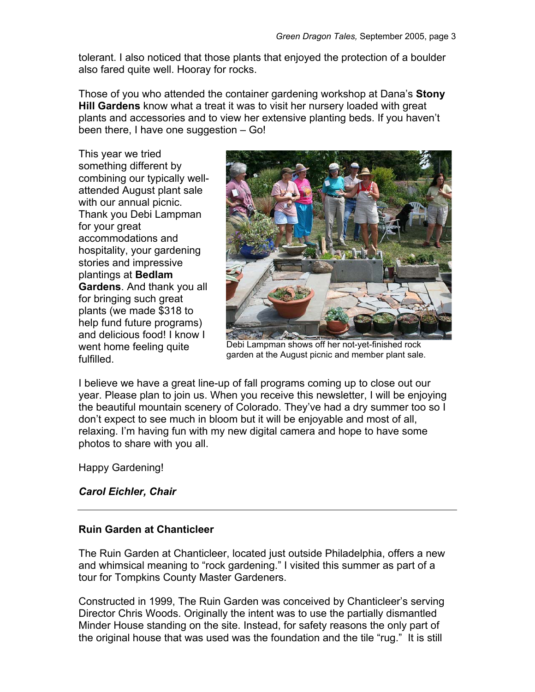tolerant. I also noticed that those plants that enjoyed the protection of a boulder also fared quite well. Hooray for rocks.

Those of you who attended the container gardening workshop at Dana's **Stony Hill Gardens** know what a treat it was to visit her nursery loaded with great plants and accessories and to view her extensive planting beds. If you haven't been there, I have one suggestion – Go!

This year we tried something different by combining our typically wellattended August plant sale with our annual picnic. Thank you Debi Lampman for your great accommodations and hospitality, your gardening stories and impressive plantings at **Bedlam Gardens**. And thank you all for bringing such great plants (we made \$318 to help fund future programs) and delicious food! I know I went home feeling quite fulfilled.



Debi Lampman shows off her not-yet-finished rock garden at the August picnic and member plant sale.

I believe we have a great line-up of fall programs coming up to close out our year. Please plan to join us. When you receive this newsletter, I will be enjoying the beautiful mountain scenery of Colorado. They've had a dry summer too so I don't expect to see much in bloom but it will be enjoyable and most of all, relaxing. I'm having fun with my new digital camera and hope to have some photos to share with you all.

Happy Gardening!

## *Carol Eichler, Chair*

# **Ruin Garden at Chanticleer**

The Ruin Garden at Chanticleer, located just outside Philadelphia, offers a new and whimsical meaning to "rock gardening." I visited this summer as part of a tour for Tompkins County Master Gardeners.

Constructed in 1999, The Ruin Garden was conceived by Chanticleer's serving Director Chris Woods. Originally the intent was to use the partially dismantled Minder House standing on the site. Instead, for safety reasons the only part of the original house that was used was the foundation and the tile "rug." It is still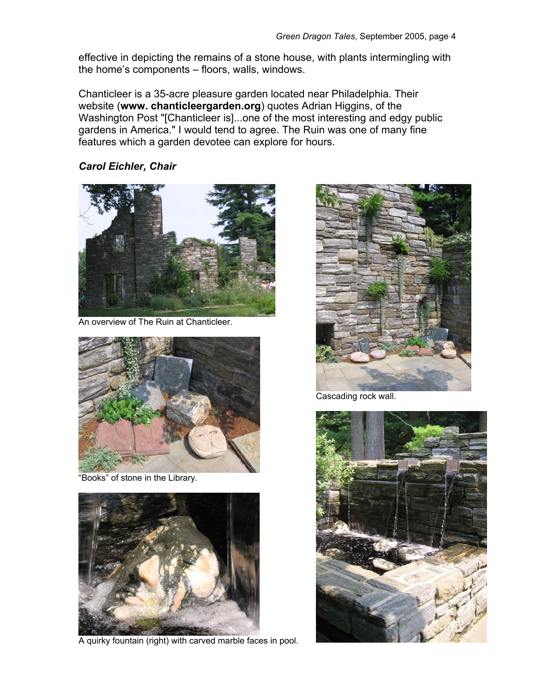effective in depicting the remains of a stone house, with plants intermingling with the home's components – floors, walls, windows.

Chanticleer is a 35-acre pleasure garden located near Philadelphia. Their website (**www. chanticleergarden.org**) quotes Adrian Higgins, of the Washington Post "[Chanticleer is]...one of the most interesting and edgy public gardens in America." I would tend to agree. The Ruin was one of many fine features which a garden devotee can explore for hours.

*Carol Eichler, Chair* 



An overview of The Ruin at Chanticleer.



"Books" of stone in the Library.



A quirky fountain (right) with carved marble faces in pool.



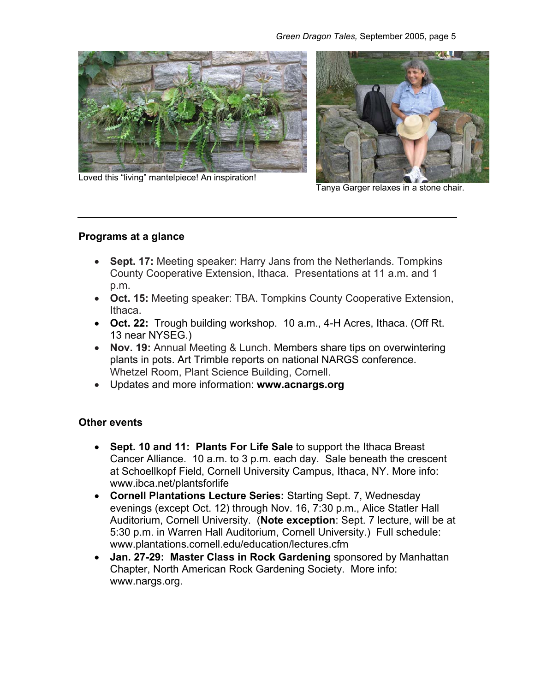



Loved this "living" mantelpiece! An inspiration!

Tanya Garger relaxes in a stone chair.

## **Programs at a glance**

- **Sept. 17:** Meeting speaker: Harry Jans from the Netherlands. Tompkins County Cooperative Extension, Ithaca. Presentations at 11 a.m. and 1 p.m.
- **Oct. 15:** Meeting speaker: TBA. Tompkins County Cooperative Extension, Ithaca.
- **Oct. 22:** Trough building workshop. 10 a.m., 4-H Acres, Ithaca. (Off Rt. 13 near NYSEG.)
- **Nov. 19:** Annual Meeting & Lunch. Members share tips on overwintering plants in pots. Art Trimble reports on national NARGS conference. Whetzel Room, Plant Science Building, Cornell.
- Updates and more information: **www.acnargs.org**

#### **Other events**

- **Sept. 10 and 11: Plants For Life Sale** to support the Ithaca Breast Cancer Alliance. 10 a.m. to 3 p.m. each day. Sale beneath the crescent at Schoellkopf Field, Cornell University Campus, Ithaca, NY. More info: www.ibca.net/plantsforlife
- **Cornell Plantations Lecture Series:** Starting Sept. 7, Wednesday evenings (except Oct. 12) through Nov. 16, 7:30 p.m., Alice Statler Hall Auditorium, Cornell University. (**Note exception**: Sept. 7 lecture, will be at 5:30 p.m. in Warren Hall Auditorium, Cornell University.) Full schedule: www.plantations.cornell.edu/education/lectures.cfm
- **Jan. 27-29: Master Class in Rock Gardening** sponsored by Manhattan Chapter, North American Rock Gardening Society. More info: www.nargs.org.